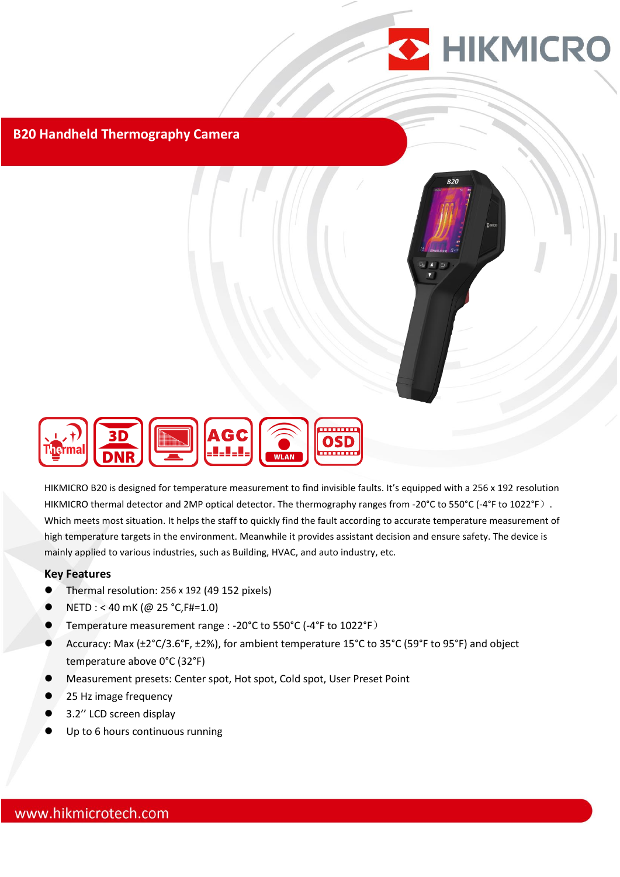

## **B20 Handheld Thermography Camera**



HIKMICRO B20 is designed for temperature measurement to find invisible faults. It's equipped with a 256 x 192 resolution HIKMICRO thermal detector and 2MP optical detector. The thermography ranges from -20°C to 550°C (-4°F to 1022°F). Which meets most situation. It helps the staff to quickly find the fault according to accurate temperature measurement of high temperature targets in the environment. Meanwhile it provides assistant decision and ensure safety. The device is mainly applied to various industries, such as Building, HVAC, and auto industry, etc.

#### **Key Features**

- Thermal resolution: 256 x 192 (49 152 pixels)
- NETD : < 40 mK (@ 25 °C,F#=1.0)
- Temperature measurement range : -20°C to 550°C (-4°F to 1022°F)
- Accuracy: Max (±2°C/3.6°F, ±2%), for ambient temperature 15°C to 35°C (59°F to 95°F) and object temperature above 0°C (32°F)
- Measurement presets: Center spot, Hot spot, Cold spot, User Preset Point
- 25 Hz image frequency
- 3.2'' LCD screen display
- Up to 6 hours continuous running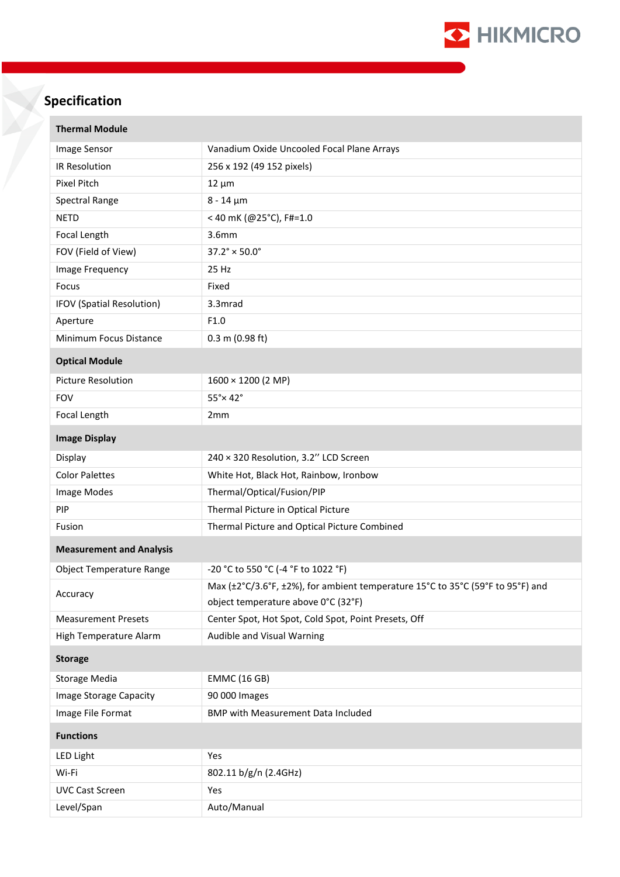

# **Specification**

| <b>Thermal Module</b>           |                                                                                |  |
|---------------------------------|--------------------------------------------------------------------------------|--|
| Image Sensor                    | Vanadium Oxide Uncooled Focal Plane Arrays                                     |  |
| IR Resolution                   | 256 x 192 (49 152 pixels)                                                      |  |
| Pixel Pitch                     | $12 \mu m$                                                                     |  |
| Spectral Range                  | $8 - 14 \mu m$                                                                 |  |
| <b>NETD</b>                     | < 40 mK (@25°C), F#=1.0                                                        |  |
| Focal Length                    | 3.6mm                                                                          |  |
| FOV (Field of View)             | $37.2^{\circ} \times 50.0^{\circ}$                                             |  |
| Image Frequency                 | 25 Hz                                                                          |  |
| Focus                           | Fixed                                                                          |  |
| IFOV (Spatial Resolution)       | 3.3mrad                                                                        |  |
| Aperture                        | F1.0                                                                           |  |
| Minimum Focus Distance          | $0.3$ m (0.98 ft)                                                              |  |
| <b>Optical Module</b>           |                                                                                |  |
| <b>Picture Resolution</b>       | $1600 \times 1200$ (2 MP)                                                      |  |
| <b>FOV</b>                      | $55^\circ \times 42^\circ$                                                     |  |
| Focal Length                    | 2 <sub>mm</sub>                                                                |  |
| <b>Image Display</b>            |                                                                                |  |
| Display                         | 240 × 320 Resolution, 3.2" LCD Screen                                          |  |
| <b>Color Palettes</b>           | White Hot, Black Hot, Rainbow, Ironbow                                         |  |
| Image Modes                     | Thermal/Optical/Fusion/PIP                                                     |  |
| PIP                             | Thermal Picture in Optical Picture                                             |  |
| Fusion                          | Thermal Picture and Optical Picture Combined                                   |  |
| <b>Measurement and Analysis</b> |                                                                                |  |
| <b>Object Temperature Range</b> | -20 °C to 550 °C (-4 °F to 1022 °F)                                            |  |
| Accuracy                        | Max (±2°C/3.6°F, ±2%), for ambient temperature 15°C to 35°C (59°F to 95°F) and |  |
|                                 | object temperature above 0°C (32°F)                                            |  |
| <b>Measurement Presets</b>      | Center Spot, Hot Spot, Cold Spot, Point Presets, Off                           |  |
| High Temperature Alarm          | Audible and Visual Warning                                                     |  |
| <b>Storage</b>                  |                                                                                |  |
| <b>Storage Media</b>            | <b>EMMC (16 GB)</b>                                                            |  |
| Image Storage Capacity          | 90 000 Images                                                                  |  |
| Image File Format               | <b>BMP with Measurement Data Included</b>                                      |  |
| <b>Functions</b>                |                                                                                |  |
| <b>LED Light</b>                | Yes                                                                            |  |
| Wi-Fi                           | 802.11 b/g/n (2.4GHz)                                                          |  |
| <b>UVC Cast Screen</b>          | Yes                                                                            |  |
| Level/Span                      | Auto/Manual                                                                    |  |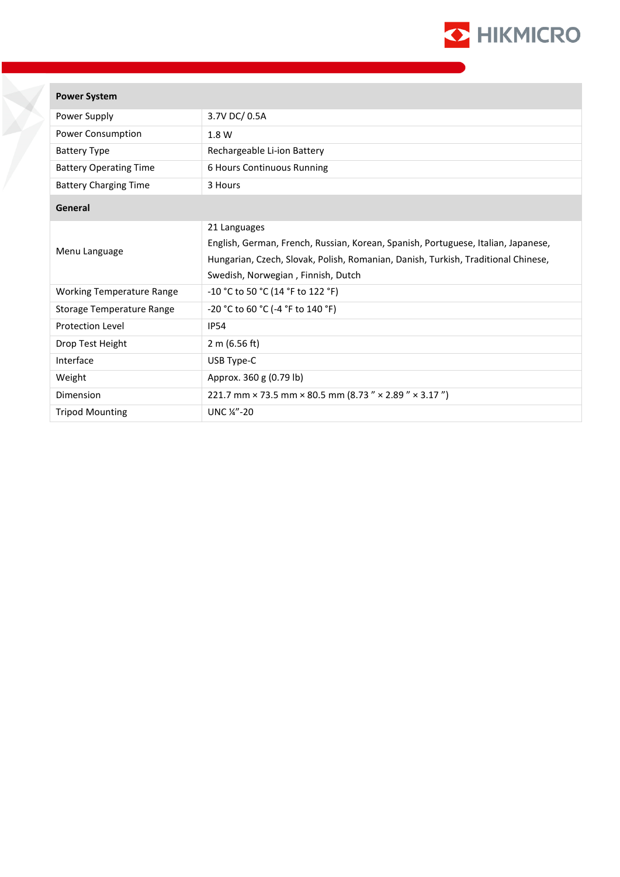

| Power System |
|--------------|
|--------------|

| Power Supply                     | 3.7V DC/ 0.5A                                                                                                                                                                                                                |
|----------------------------------|------------------------------------------------------------------------------------------------------------------------------------------------------------------------------------------------------------------------------|
| Power Consumption                | 1.8 W                                                                                                                                                                                                                        |
| <b>Battery Type</b>              | Rechargeable Li-ion Battery                                                                                                                                                                                                  |
| <b>Battery Operating Time</b>    | 6 Hours Continuous Running                                                                                                                                                                                                   |
| <b>Battery Charging Time</b>     | 3 Hours                                                                                                                                                                                                                      |
| General                          |                                                                                                                                                                                                                              |
| Menu Language                    | 21 Languages<br>English, German, French, Russian, Korean, Spanish, Portuguese, Italian, Japanese,<br>Hungarian, Czech, Slovak, Polish, Romanian, Danish, Turkish, Traditional Chinese,<br>Swedish, Norwegian, Finnish, Dutch |
| <b>Working Temperature Range</b> | -10 °C to 50 °C (14 °F to 122 °F)                                                                                                                                                                                            |
| Storage Temperature Range        | -20 °C to 60 °C (-4 °F to 140 °F)                                                                                                                                                                                            |
| <b>Protection Level</b>          | <b>IP54</b>                                                                                                                                                                                                                  |
| Drop Test Height                 | 2 m (6.56 ft)                                                                                                                                                                                                                |
| Interface                        | USB Type-C                                                                                                                                                                                                                   |
| Weight                           | Approx. 360 g (0.79 lb)                                                                                                                                                                                                      |
| Dimension                        | 221.7 mm × 73.5 mm × 80.5 mm (8.73 " × 2.89 " × 3.17")                                                                                                                                                                       |
| <b>Tripod Mounting</b>           | UNC 1/4"-20                                                                                                                                                                                                                  |